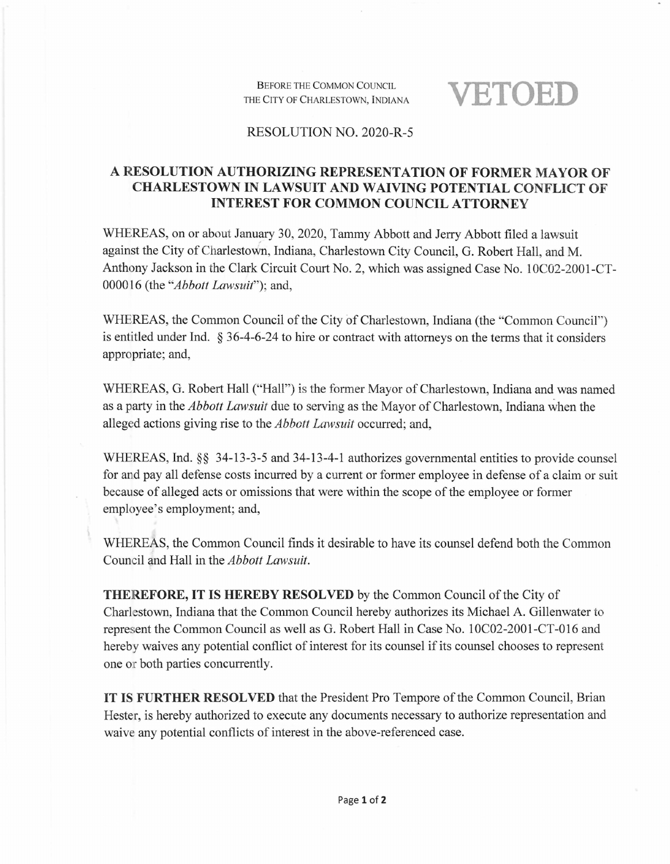Before the Common Council THE City of Charlestown, Indiana **VETOED**

## RESOLUTION NO. 2020-R-5

## **A RESOLUTION AUTHORIZING REPRESENTATION OF FORMER MAYOR OF CHARLESTOWN IN LAWSUIT AND WAIVING POTENTIAL CONFLICT OF INTEREST FOR COMMON COUNCIL ATTORNEY**

WHEREAS, on or about January 30, 2020, Tammy Abbott and Jerry Abbott filed a lawsuit against the City of Charlestown, Indiana, Charlestown City Council, G. Robert Hall, and M. Anthony Jackson in the Clark Circuit Court No. 2, which was assigned Case No. 10C02-2001-CT-000016 (the *Abbott Lawsuit' )',* and,

WHEREAS, the Common Council of the City of Charlestown, Indiana (the "Common Council") is entitled under Ind. § 36-4-6-24 to hire or contract with attorneys on the terms that it considers appropriate; and,

WHEREAS, G. Robert Hall ("Hall") is the former Mayor of Charlestown, Indiana and was named as a party in the *Abbott Lawsuit* due to serving as the Mayor of Charlestown, Indiana when the alleged actions giving rise to the *Abbott Lawsuit* occurred; and,

WHEREAS, Ind. §§ 34-13-3-5 and 34-13-4-1 authorizes governmental entities to provide counsel for and pay all defense costs incurred by a current or former employee in defense of a claim or suit because of alleged acts or omissions that were within the scope of the employee or former employee's employment; and,

WHEREAS, the Common Council finds it desirable to have its counsel defend both the Common Council and Hall in the *Abbott Lawsuit*.

**THEREFORE, IT IS HEREBY RESOLVED** by the Common Council of the City of Charlestown, Indiana that the Common Council hereby authorizes its Michael A. Gillenwater to represent the Common Council as well as G. Robert Hall in Case No. 10C02-2001-CT-016 and hereby waives any potential conflict of interest for its counsel if its counsel chooses to represent one or both parties concurrently.

**IT IS FURTHER RESOLVED** that the President Pro Tempore ofthe Common Council, Brian Hester, is hereby authorized to execute any documents necessary to authorize representation and waive any potential conflicts of interest in the above-referenced case.